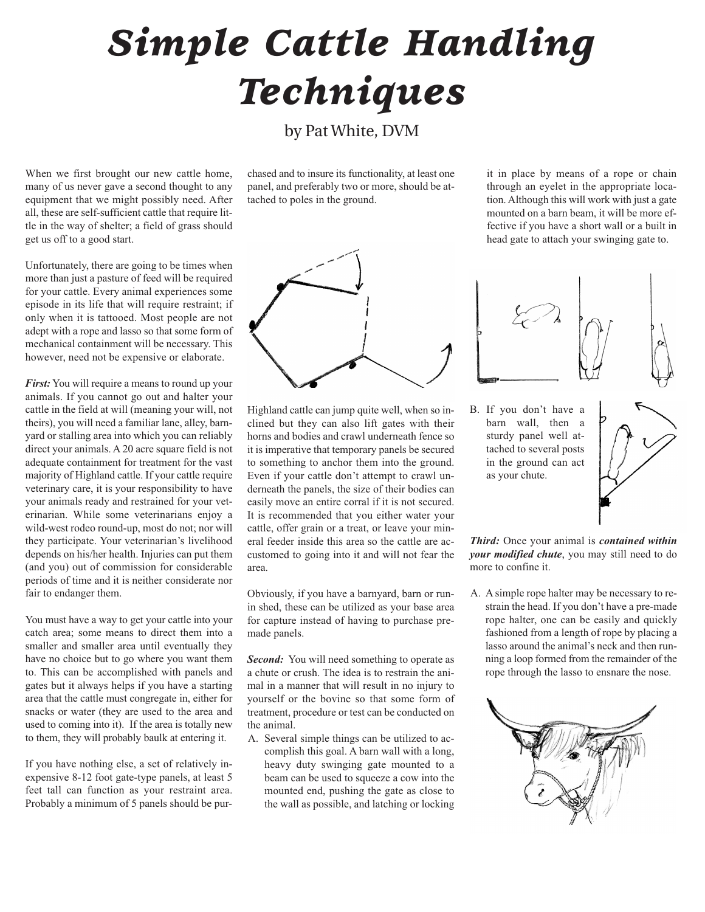## *Simple Cattle Handling Techniques*

by Pat White, DVM

When we first brought our new cattle home, many of us never gave a second thought to any equipment that we might possibly need. After all, these are self-sufficient cattle that require little in the way of shelter; a field of grass should get us off to a good start.

Unfortunately, there are going to be times when more than just a pasture of feed will be required for your cattle. Every animal experiences some episode in its life that will require restraint; if only when it is tattooed. Most people are not adept with a rope and lasso so that some form of mechanical containment will be necessary. This however, need not be expensive or elaborate.

*First:* You will require a means to round up your animals. If you cannot go out and halter your cattle in the field at will (meaning your will, not theirs), you will need a familiar lane, alley, barnyard or stalling area into which you can reliably direct your animals. A 20 acre square field is not adequate containment for treatment for the vast majority of Highland cattle. If your cattle require veterinary care, it is your responsibility to have your animals ready and restrained for your veterinarian. While some veterinarians enjoy a wild-west rodeo round-up, most do not; nor will they participate. Your veterinarian's livelihood depends on his/her health. Injuries can put them (and you) out of commission for considerable periods of time and it is neither considerate nor fair to endanger them.

You must have a way to get your cattle into your catch area; some means to direct them into a smaller and smaller area until eventually they have no choice but to go where you want them to. This can be accomplished with panels and gates but it always helps if you have a starting area that the cattle must congregate in, either for snacks or water (they are used to the area and used to coming into it). If the area is totally new to them, they will probably baulk at entering it.

If you have nothing else, a set of relatively inexpensive 8-12 foot gate-type panels, at least 5 feet tall can function as your restraint area. Probably a minimum of 5 panels should be pur-

chased and to insure its functionality, at least one panel, and preferably two or more, should be attached to poles in the ground.



Highland cattle can jump quite well, when so inclined but they can also lift gates with their horns and bodies and crawl underneath fence so it is imperative that temporary panels be secured to something to anchor them into the ground. Even if your cattle don't attempt to crawl underneath the panels, the size of their bodies can easily move an entire corral if it is not secured. It is recommended that you either water your cattle, offer grain or a treat, or leave your mineral feeder inside this area so the cattle are accustomed to going into it and will not fear the area.

Obviously, if you have a barnyard, barn or runin shed, these can be utilized as your base area for capture instead of having to purchase premade panels.

*Second:* You will need something to operate as a chute or crush. The idea is to restrain the animal in a manner that will result in no injury to yourself or the bovine so that some form of treatment, procedure or test can be conducted on the animal.

A. Several simple things can be utilized to accomplish this goal. A barn wall with a long, heavy duty swinging gate mounted to a beam can be used to squeeze a cow into the mounted end, pushing the gate as close to the wall as possible, and latching or locking it in place by means of a rope or chain through an eyelet in the appropriate location. Although this will work with just a gate mounted on a barn beam, it will be more effective if you have a short wall or a built in head gate to attach your swinging gate to.



B. If you don't have a barn wall, then a sturdy panel well attached to several posts in the ground can act as your chute.



*Third:* Once your animal is *contained within your modified chute*, you may still need to do more to confine it.

A. A simple rope halter may be necessary to restrain the head. If you don't have a pre-made rope halter, one can be easily and quickly fashioned from a length of rope by placing a lasso around the animal's neck and then running a loop formed from the remainder of the rope through the lasso to ensnare the nose.